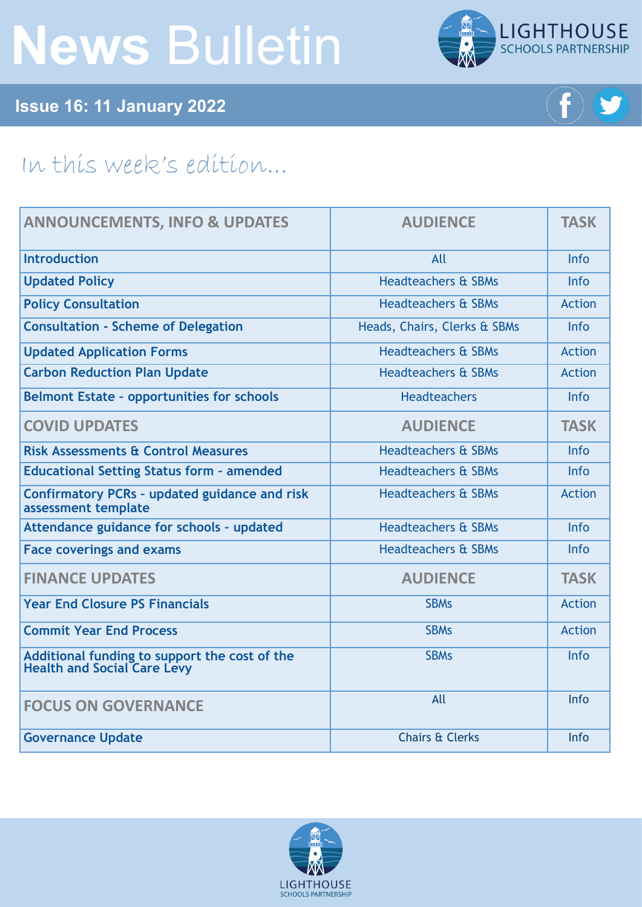# **News** Bulletin



## **Issue 16: 11 January 2022**



# In this week's edition...

| <b>ANNOUNCEMENTS, INFO &amp; UPDATES</b>                                            | <b>AUDIENCE</b>                | <b>TASK</b>   |
|-------------------------------------------------------------------------------------|--------------------------------|---------------|
| <b>Introduction</b>                                                                 | All                            | Info          |
| <b>Updated Policy</b>                                                               | <b>Headteachers &amp; SBMs</b> | <b>Info</b>   |
| <b>Policy Consultation</b>                                                          | <b>Headteachers &amp; SBMs</b> | <b>Action</b> |
| <b>Consultation - Scheme of Delegation</b>                                          | Heads, Chairs, Clerks & SBMs   | Info          |
| <b>Updated Application Forms</b>                                                    | <b>Headteachers &amp; SBMs</b> | <b>Action</b> |
| <b>Carbon Reduction Plan Update</b>                                                 | <b>Headteachers &amp; SBMs</b> | <b>Action</b> |
| <b>Belmont Estate - opportunities for schools</b>                                   | <b>Headteachers</b>            | Info          |
| <b>COVID UPDATES</b>                                                                | <b>AUDIENCE</b>                | <b>TASK</b>   |
| <b>Risk Assessments &amp; Control Measures</b>                                      | <b>Headteachers &amp; SBMs</b> | Info          |
| <b>Educational Setting Status form - amended</b>                                    | <b>Headteachers &amp; SBMs</b> | Info          |
| <b>Confirmatory PCRs - updated guidance and risk</b><br>assessment template         | <b>Headteachers &amp; SBMs</b> | <b>Action</b> |
| Attendance guidance for schools - updated                                           | <b>Headteachers &amp; SBMs</b> | Info          |
| <b>Face coverings and exams</b>                                                     | <b>Headteachers &amp; SBMs</b> | <b>Info</b>   |
| <b>FINANCE UPDATES</b>                                                              | <b>AUDIENCE</b>                | <b>TASK</b>   |
| <b>Year End Closure PS Financials</b>                                               | <b>SBMs</b>                    | <b>Action</b> |
| <b>Commit Year End Process</b>                                                      | <b>SBMs</b>                    | <b>Action</b> |
| Additional funding to support the cost of the<br><b>Health and Social Care Levy</b> | <b>SBMs</b>                    | Info          |
| <b>FOCUS ON GOVERNANCE</b>                                                          | All                            | Info          |
| <b>Governance Update</b>                                                            | <b>Chairs &amp; Clerks</b>     | Info          |

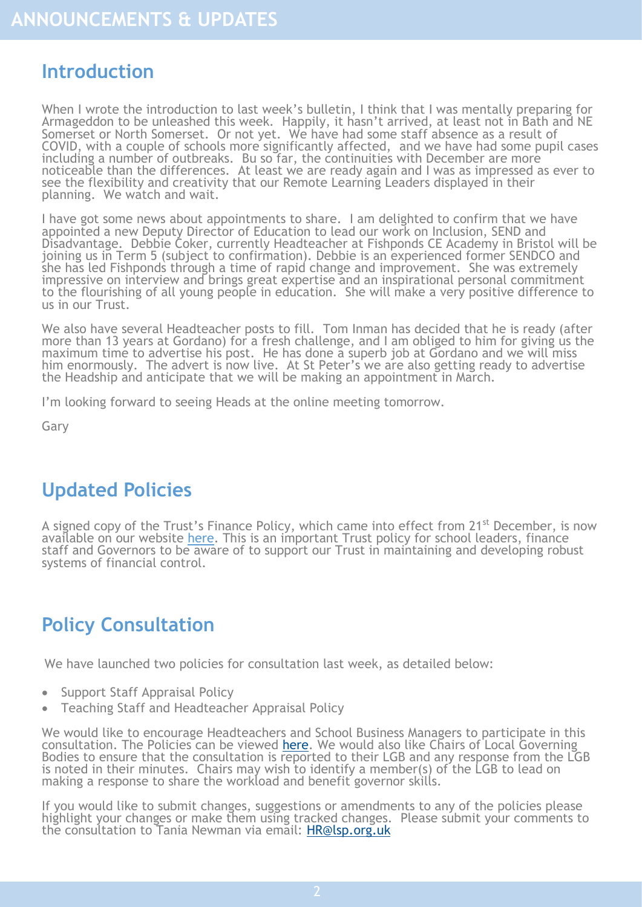## <span id="page-1-0"></span>**Introduction**

When I wrote the introduction to last week's bulletin, I think that I was mentally preparing for Armageddon to be unleashed this week. Happily, it hasn't arrived, at least not in Bath and NE Somerset or North Somerset. Or not yet. We have had some staff absence as a result of COVID, with a couple of schools more significantly affected, and we have had some pupil cases including a number of outbreaks. Bu so far, the continuities with December are more noticeable than the differences. At least we are ready again and I was as impressed as ever to see the flexibility and creativity that our Remote Learning Leaders displayed in their planning. We watch and wait.

I have got some news about appointments to share. I am delighted to confirm that we have appointed a new Deputy Director of Education to lead our work on Inclusion, SEND and Disadvantage. Debbie Coker, currently Headteacher at Fishponds CE Academy in Bristol will be joining us in Term 5 (subject to confirmation). Debbie is an experienced former SENDCO and she has led Fishponds through a time of rapid change and improvement. She was extremely impressive on interview and brings great expertise and an inspirational personal commitment to the flourishing of all young people in education. She will make a very positive difference to us in our Trust.

We also have several Headteacher posts to fill. Tom Inman has decided that he is ready (after more than 13 years at Gordano) for a fresh challenge, and I am obliged to him for giving us the maximum time to advertise his post. He has done a superb job at Gordano and we will miss him enormously. The advert is now live. At St Peter's we are also getting ready to advertise the Headship and anticipate that we will be making an appointment in March.

I'm looking forward to seeing Heads at the online meeting tomorrow.

Gary

# **Updated Policies**

A signed copy of the Trust's Finance Policy, which came into effect from 21<sup>st</sup> December, is now available on our website [here.](https://www.lsp.org.uk/attachments/download.asp?file=267&type=pdf) This is an important Trust policy for school leaders, finance staff and Governors to be aware of to support our Trust in maintaining and developing robust systems of financial control.

# **Policy Consultation**

We have launched two policies for consultation last week, as detailed below:

- Support Staff Appraisal Policy
- Teaching Staff and Headteacher Appraisal Policy

We would like to encourage Headteachers and School Business Managers to participate in this consultation. The Policies can be viewed [here.](https://foldr.lsp.org.uk/public/W31DP) We would also like Chairs of Local Governing Bodies to ensure that the consultation is reported to their LGB and any response from the LGB is noted in their minutes. Chairs may wish to identify a member(s) of the LGB to lead on making a response to share the workload and benefit governor skills.

If you would like to submit changes, suggestions or amendments to any of the policies please highlight your changes or make them using tracked changes. Please submit your comments to the consultation to Tania Newman via email: HR@lsp.org.uk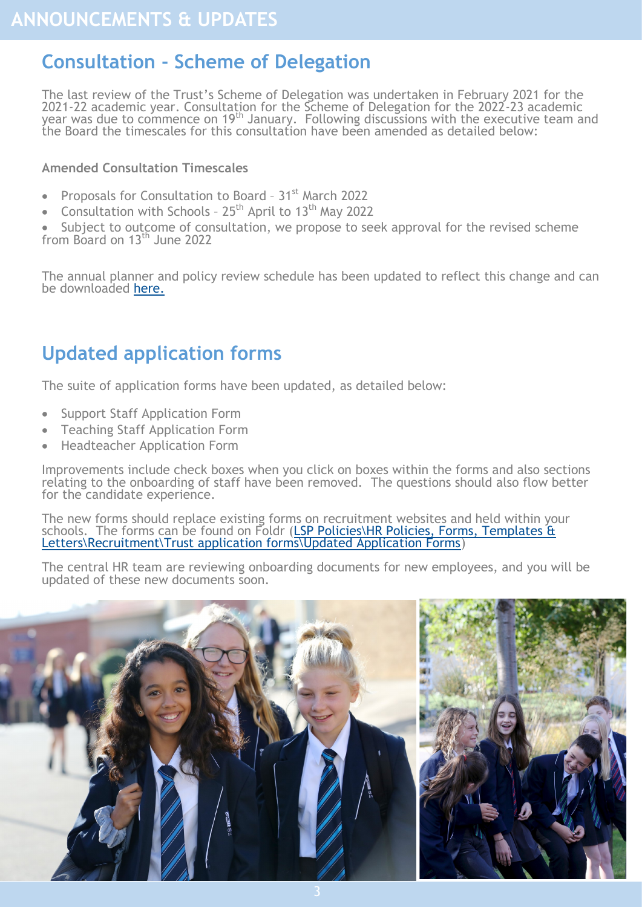# <span id="page-2-0"></span>**Consultation - Scheme of Delegation**

The last review of the Trust's Scheme of Delegation was undertaken in February 2021 for the 2021-22 academic year. Consultation for the Scheme of Delegation for the 2022-23 academic year was due to commence on 19th January. Following discussions with the executive team and the Board the timescales for this consultation have been amended as detailed below:

#### **Amended Consultation Timescales**

- Proposals for Consultation to Board 31<sup>st</sup> March 2022
- Consultation with Schools  $25<sup>th</sup>$  April to 13<sup>th</sup> May 2022

• Subject to outcome of consultation, we propose to seek approval for the revised scheme from Board on 13<sup>th</sup> June 2022

The annual planner and policy review schedule has been updated to reflect this change and can be downloaded [here.](https://foldr.lsp.org.uk/public/WZZBW)

# **Updated application forms**

The suite of application forms have been updated, as detailed below:

- Support Staff Application Form
- Teaching Staff Application Form
- Headteacher Application Form

Improvements include check boxes when you click on boxes within the forms and also sections relating to the onboarding of staff have been removed. The questions should also flow better for the candidate experience.

The new forms should replace existing forms on recruitment websites and held within your schools. The forms can be found on Foldr (LSP Policies\HR Policies, Forms, Templates & [Letters\Recruitment\Trust application forms\Updated Application Forms\)](https://foldr.lsp.org.uk/public/W58QW)

The central HR team are reviewing onboarding documents for new employees, and you will be updated of these new documents soon.

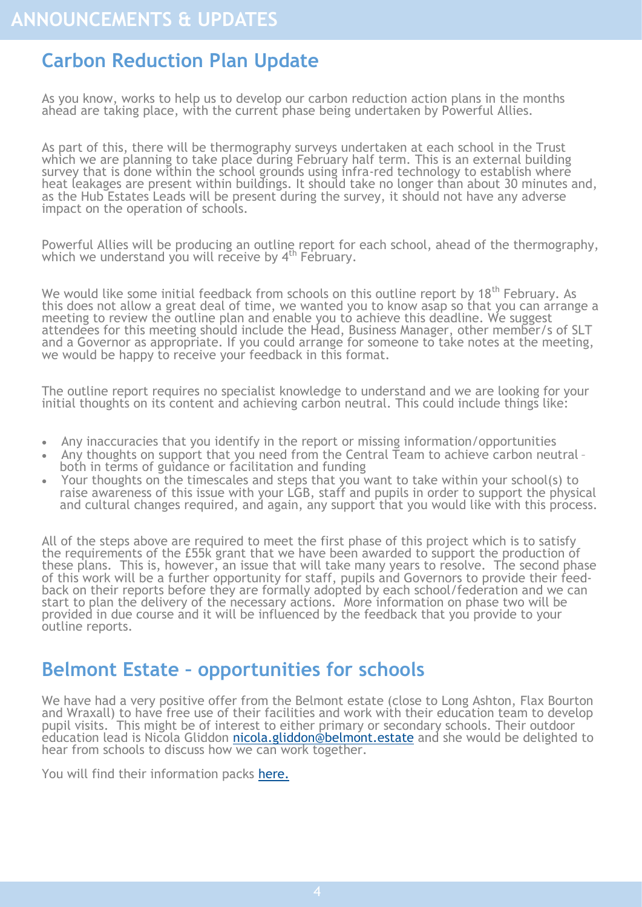# <span id="page-3-0"></span>**Carbon Reduction Plan Update**

As you know, works to help us to develop our carbon reduction action plans in the months ahead are taking place, with the current phase being undertaken by Powerful Allies.

As part of this, there will be thermography surveys undertaken at each school in the Trust which we are planning to take place during February half term. This is an external building survey that is done within the school grounds using infra-red technology to establish where heat leakages are present within buildings. It should take no longer than about 30 minutes and, as the Hub Estates Leads will be present during the survey, it should not have any adverse impact on the operation of schools.

Powerful Allies will be producing an outline report for each school, ahead of the thermography, which we understand you will receive by 4<sup>th</sup> February.

We would like some initial feedback from schools on this outline report by 18<sup>th</sup> February. As this does not allow a great deal of time, we wanted you to know asap so that you can arrange a meeting to review the outline plan and enable you to achieve this deadline. We suggest attendees for this meeting should include the Head, Business Manager, other member/s of SLT and a Governor as appropriate. If you could arrange for someone to take notes at the meeting, we would be happy to receive your feedback in this format.

The outline report requires no specialist knowledge to understand and we are looking for your initial thoughts on its content and achieving carbon neutral. This could include things like:

- Any inaccuracies that you identify in the report or missing information/opportunities
- Any thoughts on support that you need from the Central Team to achieve carbon neutral both in terms of guidance or facilitation and funding
- Your thoughts on the timescales and steps that you want to take within your school(s) to raise awareness of this issue with your LGB, staff and pupils in order to support the physical and cultural changes required, and again, any support that you would like with this process.

All of the steps above are required to meet the first phase of this project which is to satisfy the requirements of the £55k grant that we have been awarded to support the production of these plans. This is, however, an issue that will take many years to resolve. The second phase of this work will be a further opportunity for staff, pupils and Governors to provide their feedback on their reports before they are formally adopted by each school/federation and we can start to plan the delivery of the necessary actions. More information on phase two will be provided in due course and it will be influenced by the feedback that you provide to your outline reports.

#### **Belmont Estate – opportunities for schools**

We have had a very positive offer from the Belmont estate (close to Long Ashton, Flax Bourton and Wraxall) to have free use of their facilities and work with their education team to develop pupil visits. This might be of interest to either primary or secondary schools. Their outdoor education lead is Nicola Gliddon [nicola.gliddon@belmont.estate](mailto:nicola.gliddon@belmont.estate) and she would be delighted to hear from schools to discuss how we can work together.

You will find their information packs [here.](https://foldr.lsp.org.uk/public/PKJ0W)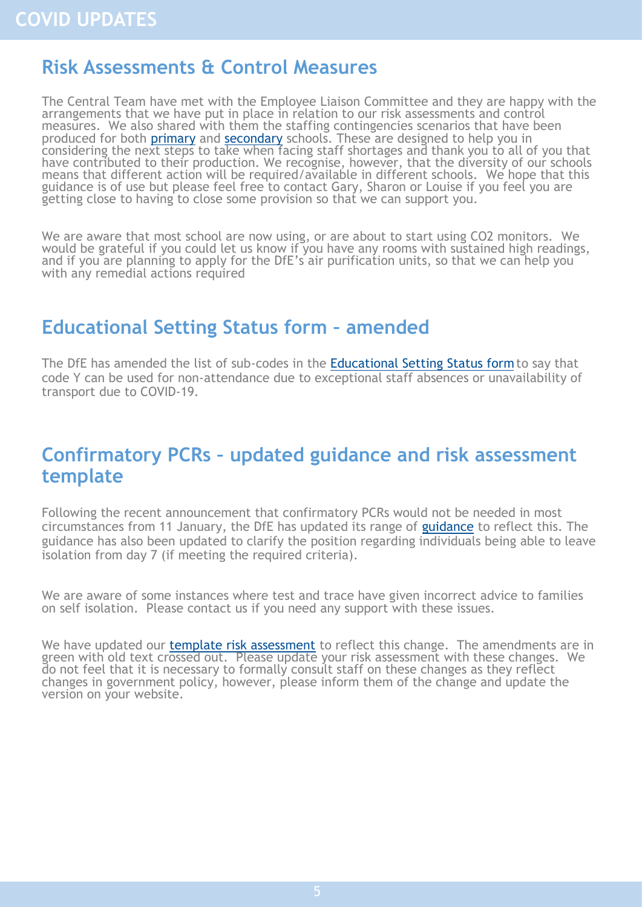#### <span id="page-4-0"></span>**Risk Assessments & Control Measures**

The Central Team have met with the Employee Liaison Committee and they are happy with the arrangements that we have put in place in relation to our risk assessments and control measures. We also shared with them the staffing contingencies scenarios that have been produced for both **[primary](https://foldr.lsp.org.uk/public/ND8BN)** and **secondary** schools. These are designed to help you in considering the next steps to take when facing staff shortages and thank you to all of you that have contributed to their production. We recognise, however, that the diversity of our schools means that different action will be required/available in different schools. We hope that this guidance is of use but please feel free to contact Gary, Sharon or Louise if you feel you are getting close to having to close some provision so that we can support you.

We are aware that most school are now using, or are about to start using CO2 monitors. We would be grateful if you could let us know if you have any rooms with sustained high readings, and if you are planning to apply for the DfE's air purification units, so that we can help you with any remedial actions required

## **Educational Setting Status form – amended**

The DfE has amended the list of sub-codes in the [Educational Setting Status form](https://www.gov.uk/guidance/how-to-complete-the-educational-setting-status-form?utm_medium=email&utm_campaign=govuk-notifications-topic&utm_source=dc08575b-3073-4ff5-8d08-46a52ff11b76&utm_content=immediately) to say that code Y can be used for non-attendance due to exceptional staff absences or unavailability of transport due to COVID-19.

#### **Confirmatory PCRs – updated guidance and risk assessment template**

Following the recent announcement that confirmatory PCRs would not be needed in most circumstances from 11 January, the DfE has updated its range of [guidance](https://www.gov.uk/government/publications/actions-for-schools-during-the-coronavirus-outbreak?utm_medium=email&utm_campaign=govuk-notifications&utm_source=63200972-dc4d-430f-9ffe-e28b74bab6ee&utm_content=immediately) to reflect this. The guidance has also been updated to clarify the position regarding individuals being able to leave isolation from day 7 (if meeting the required criteria).

We are aware of some instances where test and trace have given incorrect advice to families on self isolation. Please contact us if you need any support with these issues.

We have updated our [template risk assessment](https://foldr.lsp.org.uk/public/NB1EW) to reflect this change. The amendments are in green with old text crossed out. Please update your risk assessment with these changes. We do not feel that it is necessary to formally consult staff on these changes as they reflect changes in government policy, however, please inform them of the change and update the version on your website.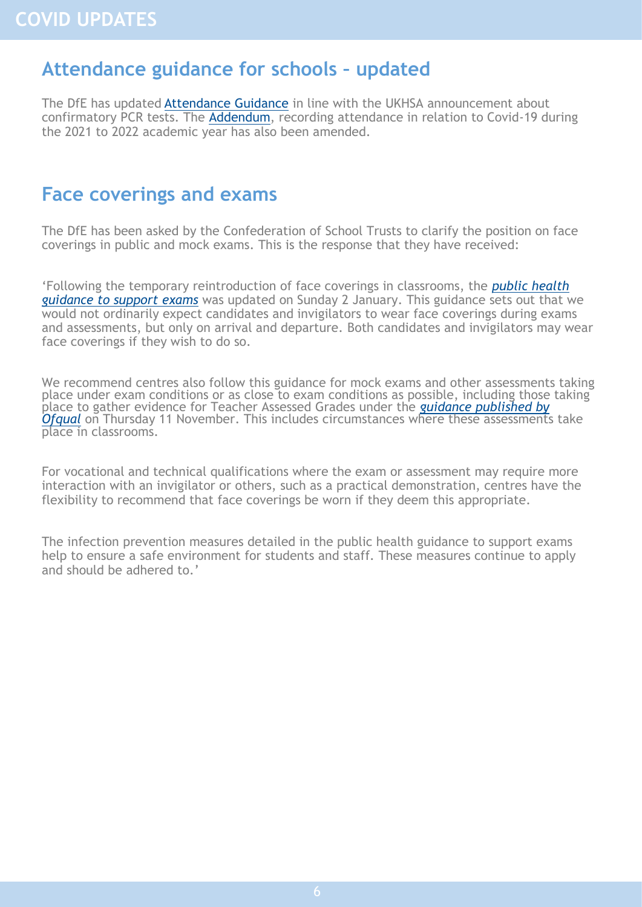#### <span id="page-5-0"></span>**Attendance guidance for schools – updated**

The DfE has updated [Attendance Guidance](https://www.gov.uk/government/publications/school-attendance?utm_medium=email&utm_campaign=govuk-notifications-topic&utm_source=5b5f9dd4-382a-4425-8a6e-ff0ca66c5f35&utm_content=immediately) in line with the UKHSA announcement about confirmatory PCR tests. The [Addendum,](https://www.gov.uk/government/publications/school-attendance/addendum-recording-attendance-in-relation-to-coronavirus-covid-19-during-the-2021-to-2022-academic-year) recording attendance in relation to Covid-19 during the 2021 to 2022 academic year has also been amended.

#### **Face coverings and exams**

The DfE has been asked by the Confederation of School Trusts to clarify the position on face coverings in public and mock exams. This is the response that they have received:

'Following the temporary reintroduction of face coverings in classrooms, the *[public health](https://www.gov.uk/government/publications/responsibility-for-autumn-gcse-as-and-a-level-exam-series/public-health-arrangements-for-autumn-exams)  [guidance to support exams](https://www.gov.uk/government/publications/responsibility-for-autumn-gcse-as-and-a-level-exam-series/public-health-arrangements-for-autumn-exams)* was updated on Sunday 2 January. This guidance sets out that we would not ordinarily expect candidates and invigilators to wear face coverings during exams and assessments, but only on arrival and departure. Both candidates and invigilators may wear face coverings if they wish to do so.

We recommend centres also follow this guidance for mock exams and other assessments taking place under exam conditions or as close to exam conditions as possible, including those taking place to gather evidence for Teacher Assessed Grades under the *[guidance published by](https://www.gov.uk/government/publications/guidance-on-contingency-arrangements-for-gcses-as-and-a-levels-in-summer-2022)  [Ofqual](https://www.gov.uk/government/publications/guidance-on-contingency-arrangements-for-gcses-as-and-a-levels-in-summer-2022)* on Thursday 11 November. This includes circumstances where these assessments take place in classrooms.

For vocational and technical qualifications where the exam or assessment may require more interaction with an invigilator or others, such as a practical demonstration, centres have the flexibility to recommend that face coverings be worn if they deem this appropriate.

The infection prevention measures detailed in the public health guidance to support exams help to ensure a safe environment for students and staff. These measures continue to apply and should be adhered to.'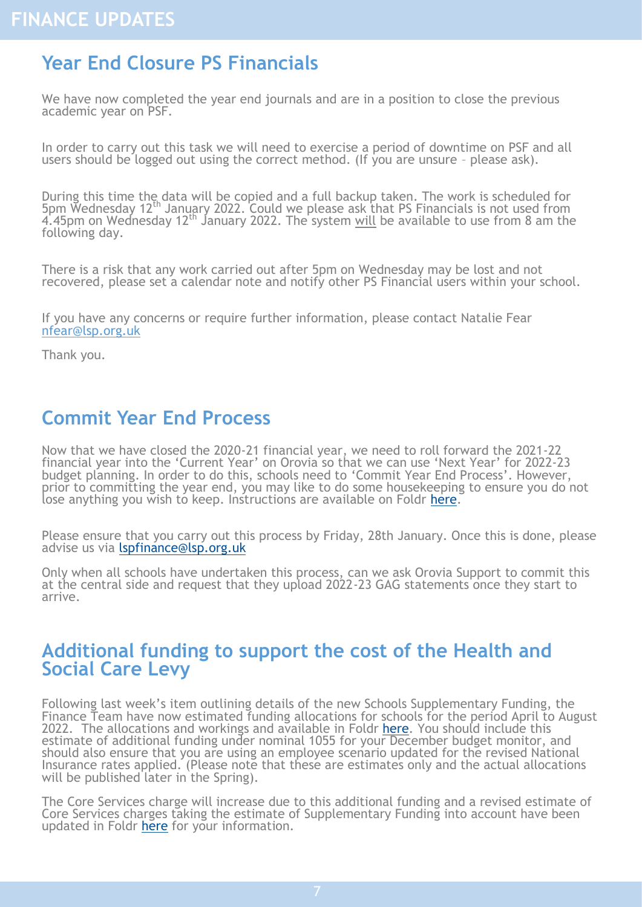## <span id="page-6-0"></span>**Year End Closure PS Financials**

We have now completed the year end journals and are in a position to close the previous academic year on PSF.

In order to carry out this task we will need to exercise a period of downtime on PSF and all users should be logged out using the correct method. (If you are unsure – please ask).

During this time the data will be copied and a full backup taken. The work is scheduled for 5pm Wednesday 12th January 2022. Could we please ask that PS Financials is not used from 4.45pm on Wednesday 12th January 2022. The system will be available to use from 8 am the following day.

There is a risk that any work carried out after 5pm on Wednesday may be lost and not recovered, please set a calendar note and notify other PS Financial users within your school.

If you have any concerns or require further information, please contact Natalie Fear nfear@lsp.org.uk

Thank you.

## **Commit Year End Process**

Now that we have closed the 2020-21 financial year, we need to roll forward the 2021-22 financial year into the 'Current Year' on Orovia so that we can use 'Next Year' for 2022-23 budget planning. In order to do this, schools need to 'Commit Year End Process'. However, prior to committing the year end, you may like to do some housekeeping to ensure you do not lose anything you wish to keep. Instructions are available on Foldr [here.](https://foldr.lsp.org.uk/public/W6Z9W)

Please ensure that you carry out this process by Friday, 28th January. Once this is done, please advise us via *Ispfinance*@lsp.org.uk

Only when all schools have undertaken this process, can we ask Orovia Support to commit this at the central side and request that they upload 2022-23 GAG statements once they start to arrive.

#### **Additional funding to support the cost of the Health and Social Care Levy**

Following last week's item outlining details of the new Schools Supplementary Funding, the Finance Team have now estimated funding allocations for schools for the period April to August 2022. The allocations and workings and available in Foldr [here.](https://foldr.lsp.org.uk/public/WMEMP) You should include this estimate of additional funding under nominal 1055 for your December budget monitor, and should also ensure that you are using an employee scenario updated for the revised National Insurance rates applied. (Please note that these are estimates only and the actual allocations will be published later in the Spring).

The Core Services charge will increase due to this additional funding and a revised estimate of Core Services charges taking the estimate of Supplementary Funding into account have been updated in Foldr [here](https://foldr.lsp.org.uk/public/PVQBN) for your information.